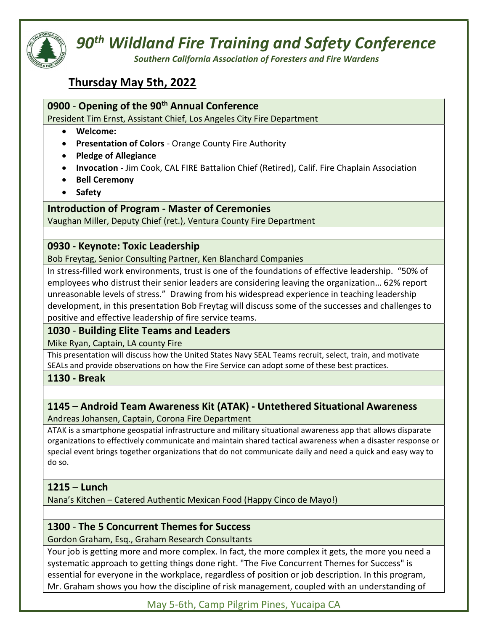

# 90<sup>th</sup> Wildland Fire Training and Safety Conference

Southern California Association of Foresters and Fire Wardens

# Thursday May 5th, 2022

# 0900 - Opening of the 90<sup>th</sup> Annual Conference

President Tim Ernst, Assistant Chief, Los Angeles City Fire Department

- Welcome:
- Presentation of Colors Orange County Fire Authority
- Pledge of Allegiance
- Invocation Jim Cook, CAL FIRE Battalion Chief (Retired), Calif. Fire Chaplain Association
- Bell Ceremony
- Safety

### Introduction of Program - Master of Ceremonies

Vaughan Miller, Deputy Chief (ret.), Ventura County Fire Department

### 0930 - Keynote: Toxic Leadership

Bob Freytag, Senior Consulting Partner, Ken Blanchard Companies

In stress-filled work environments, trust is one of the foundations of effective leadership. "50% of employees who distrust their senior leaders are considering leaving the organization… 62% report unreasonable levels of stress." Drawing from his widespread experience in teaching leadership development, in this presentation Bob Freytag will discuss some of the successes and challenges to positive and effective leadership of fire service teams.

# 1030 - Building Elite Teams and Leaders

Mike Ryan, Captain, LA county Fire

This presentation will discuss how the United States Navy SEAL Teams recruit, select, train, and motivate SEALs and provide observations on how the Fire Service can adopt some of these best practices.

1130 - Break

# 1145 – Android Team Awareness Kit (ATAK) - Untethered Situational Awareness

Andreas Johansen, Captain, Corona Fire Department

ATAK is a smartphone geospatial infrastructure and military situational awareness app that allows disparate organizations to effectively communicate and maintain shared tactical awareness when a disaster response or special event brings together organizations that do not communicate daily and need a quick and easy way to do so.

### 1215 – Lunch

Nana's Kitchen – Catered Authentic Mexican Food (Happy Cinco de Mayo!)

# 1300 - The 5 Concurrent Themes for Success

Gordon Graham, Esq., Graham Research Consultants

Your job is getting more and more complex. In fact, the more complex it gets, the more you need a systematic approach to getting things done right. "The Five Concurrent Themes for Success" is essential for everyone in the workplace, regardless of position or job description. In this program, Mr. Graham shows you how the discipline of risk management, coupled with an understanding of

May 5-6th, Camp Pilgrim Pines, Yucaipa CA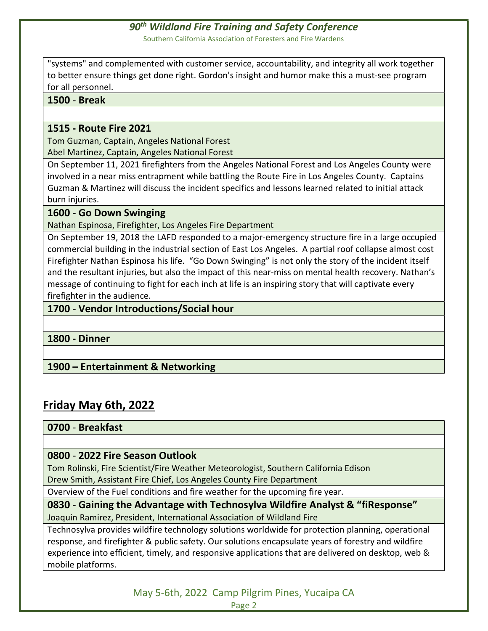"systems" and complemented with customer service, accountability, and integrity all work together to better ensure things get done right. Gordon's insight and humor make this a must-see program for all personnel.

### 1500 - Break

### 1515 - Route Fire 2021

Tom Guzman, Captain, Angeles National Forest Abel Martinez, Captain, Angeles National Forest

On September 11, 2021 firefighters from the Angeles National Forest and Los Angeles County were involved in a near miss entrapment while battling the Route Fire in Los Angeles County. Captains Guzman & Martinez will discuss the incident specifics and lessons learned related to initial attack burn injuries.

### 1600 - Go Down Swinging

Nathan Espinosa, Firefighter, Los Angeles Fire Department

On September 19, 2018 the LAFD responded to a major-emergency structure fire in a large occupied commercial building in the industrial section of East Los Angeles. A partial roof collapse almost cost Firefighter Nathan Espinosa his life. "Go Down Swinging" is not only the story of the incident itself and the resultant injuries, but also the impact of this near-miss on mental health recovery. Nathan's message of continuing to fight for each inch at life is an inspiring story that will captivate every firefighter in the audience.

# 1700 - Vendor Introductions/Social hour

1800 - Dinner

# 1900 – Entertainment & Networking

# Friday May 6th, 2022

### 0700 - Breakfast

# 0800 - 2022 Fire Season Outlook

Tom Rolinski, Fire Scientist/Fire Weather Meteorologist, Southern California Edison Drew Smith, Assistant Fire Chief, Los Angeles County Fire Department

Overview of the Fuel conditions and fire weather for the upcoming fire year.

0830 - Gaining the Advantage with Technosylva Wildfire Analyst & "fiResponse" Joaquin Ramirez, President, International Association of Wildland Fire

Technosylva provides wildfire technology solutions worldwide for protection planning, operational response, and firefighter & public safety. Our solutions encapsulate years of forestry and wildfire experience into efficient, timely, and responsive applications that are delivered on desktop, web & mobile platforms.

> May 5-6th, 2022 Camp Pilgrim Pines, Yucaipa CA Page 2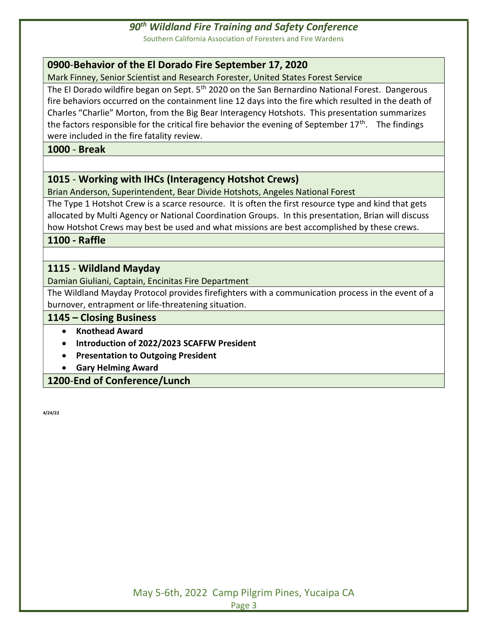### 90<sup>th</sup> Wildland Fire Training and Safety Conference

Southern California Association of Foresters and Fire Wardens

### 0900-Behavior of the El Dorado Fire September 17, 2020

Mark Finney, Senior Scientist and Research Forester, United States Forest Service

The El Dorado wildfire began on Sept. 5<sup>th</sup> 2020 on the San Bernardino National Forest. Dangerous fire behaviors occurred on the containment line 12 days into the fire which resulted in the death of Charles "Charlie" Morton, from the Big Bear Interagency Hotshots. This presentation summarizes the factors responsible for the critical fire behavior the evening of September  $17<sup>th</sup>$ . The findings were included in the fire fatality review.

### 1000 - Break

### 1015 - Working with IHCs (Interagency Hotshot Crews)

Brian Anderson, Superintendent, Bear Divide Hotshots, Angeles National Forest

The Type 1 Hotshot Crew is a scarce resource. It is often the first resource type and kind that gets allocated by Multi Agency or National Coordination Groups. In this presentation, Brian will discuss how Hotshot Crews may best be used and what missions are best accomplished by these crews.

1100 - Raffle

### 1115 - Wildland Mayday

Damian Giuliani, Captain, Encinitas Fire Department

The Wildland Mayday Protocol provides firefighters with a communication process in the event of a burnover, entrapment or life-threatening situation.

### 1145 – Closing Business

- Knothead Award
- Introduction of 2022/2023 SCAFFW President
- **Presentation to Outgoing President**
- Gary Helming Award

1200-End of Conference/Lunch

4/24/22